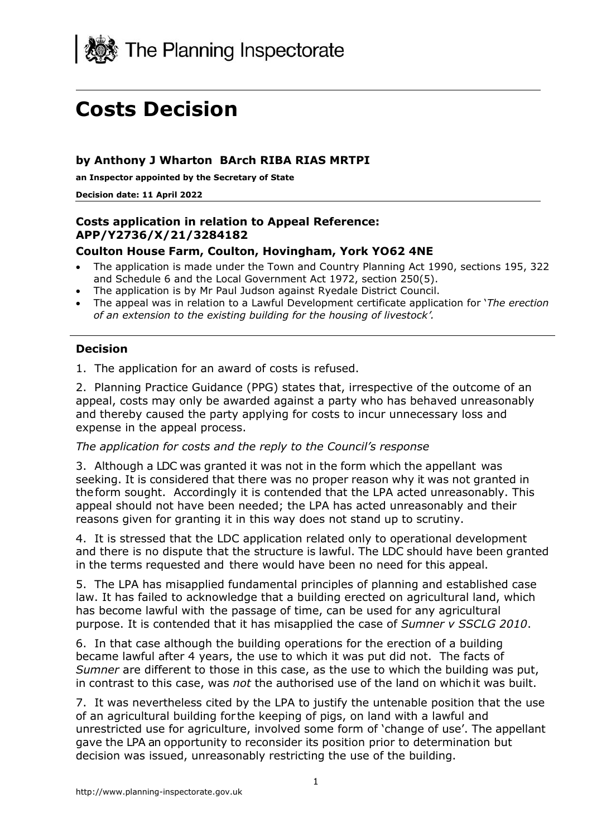

# **Costs Decision**

## **by Anthony J Wharton BArch RIBA RIAS MRTPI**

**an Inspector appointed by the Secretary of State**

**Decision date: 11 April 2022**

### **Costs application in relation to Appeal Reference: APP/Y2736/X/21/3284182**

## **Coulton House Farm, Coulton, Hovingham, York YO62 4NE**

- The application is made under the Town and Country Planning Act 1990, sections 195, 322 and Schedule 6 and the Local Government Act 1972, section 250(5).
- The application is by Mr Paul Judson against Ryedale District Council.
- The appeal was in relation to a Lawful Development certificate application for '*The erection of an extension to the existing building for the housing of livestock'.*

#### **Decision**

1. The application for an award of costs is refused.

2. Planning Practice Guidance (PPG) states that, irrespective of the outcome of an appeal, costs may only be awarded against a party who has behaved unreasonably and thereby caused the party applying for costs to incur unnecessary loss and expense in the appeal process.

#### *The application for costs and the reply to the Council's response*

3. Although a LDC was granted it was not in the form which the appellant was seeking. It is considered that there was no proper reason why it was not granted in theform sought. Accordingly it is contended that the LPA acted unreasonably. This appeal should not have been needed; the LPA has acted unreasonably and their reasons given for granting it in this way does not stand up to scrutiny.

4. It is stressed that the LDC application related only to operational development and there is no dispute that the structure is lawful. The LDC should have been granted in the terms requested and there would have been no need for this appeal.

5. The LPA has misapplied fundamental principles of planning and established case law. It has failed to acknowledge that a building erected on agricultural land, which has become lawful with the passage of time, can be used for any agricultural purpose. It is contended that it has misapplied the case of *Sumner v SSCLG 2010*.

6. In that case although the building operations for the erection of a building became lawful after 4 years, the use to which it was put did not. The facts of *Sumner* are different to those in this case, as the use to which the building was put, in contrast to this case, was *not* the authorised use of the land on whichit was built.

7. It was nevertheless cited by the LPA to justify the untenable position that the use of an agricultural building for the keeping of pigs, on land with a lawful and unrestricted use for agriculture, involved some form of 'change of use'. The appellant gave the LPA an opportunity to reconsider its position prior to determination but decision was issued, unreasonably restricting the use of the building.